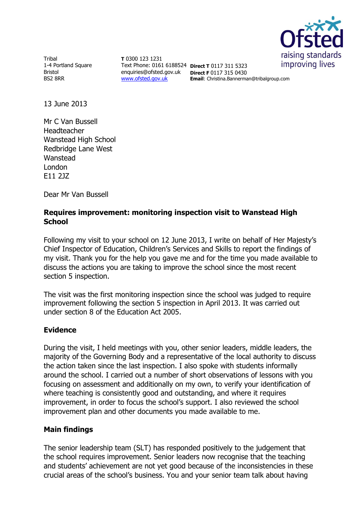

**Tribal** 1-4 Portland Square Bristol BS2 8RR

**T** 0300 123 1231 Text Phone: 0161 6188524 **Direct T** 0117 311 5323 enquiries@ofsted.gov.uk **Direct F** 0117 315 0430 [www.ofsted.gov.uk](http://www.ofsted.gov.uk/)

**Email**: Christina.Bannerman@tribalgroup.com

13 June 2013

Mr C Van Bussell Headteacher Wanstead High School Redbridge Lane West Wanstead London E11 2JZ

Dear Mr Van Bussell

## **Requires improvement: monitoring inspection visit to Wanstead High School**

Following my visit to your school on 12 June 2013, I write on behalf of Her Majesty's Chief Inspector of Education, Children's Services and Skills to report the findings of my visit. Thank you for the help you gave me and for the time you made available to discuss the actions you are taking to improve the school since the most recent section 5 inspection.

The visit was the first monitoring inspection since the school was judged to require improvement following the section 5 inspection in April 2013. It was carried out under section 8 of the Education Act 2005.

## **Evidence**

During the visit, I held meetings with you, other senior leaders, middle leaders, the majority of the Governing Body and a representative of the local authority to discuss the action taken since the last inspection. I also spoke with students informally around the school. I carried out a number of short observations of lessons with you focusing on assessment and additionally on my own, to verify your identification of where teaching is consistently good and outstanding, and where it requires improvement, in order to focus the school's support. I also reviewed the school improvement plan and other documents you made available to me.

## **Main findings**

The senior leadership team (SLT) has responded positively to the judgement that the school requires improvement. Senior leaders now recognise that the teaching and students' achievement are not yet good because of the inconsistencies in these crucial areas of the school's business. You and your senior team talk about having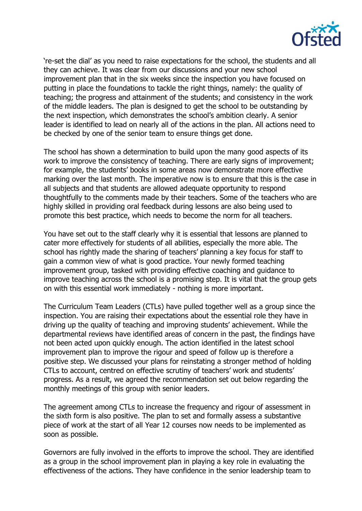

're-set the dial' as you need to raise expectations for the school, the students and all they can achieve. It was clear from our discussions and your new school improvement plan that in the six weeks since the inspection you have focused on putting in place the foundations to tackle the right things, namely: the quality of teaching; the progress and attainment of the students; and consistency in the work of the middle leaders. The plan is designed to get the school to be outstanding by the next inspection, which demonstrates the school's ambition clearly. A senior leader is identified to lead on nearly all of the actions in the plan. All actions need to be checked by one of the senior team to ensure things get done.

The school has shown a determination to build upon the many good aspects of its work to improve the consistency of teaching. There are early signs of improvement; for example, the students' books in some areas now demonstrate more effective marking over the last month. The imperative now is to ensure that this is the case in all subjects and that students are allowed adequate opportunity to respond thoughtfully to the comments made by their teachers. Some of the teachers who are highly skilled in providing oral feedback during lessons are also being used to promote this best practice, which needs to become the norm for all teachers.

You have set out to the staff clearly why it is essential that lessons are planned to cater more effectively for students of all abilities, especially the more able. The school has rightly made the sharing of teachers' planning a key focus for staff to gain a common view of what is good practice. Your newly formed teaching improvement group, tasked with providing effective coaching and guidance to improve teaching across the school is a promising step. It is vital that the group gets on with this essential work immediately - nothing is more important.

The Curriculum Team Leaders (CTLs) have pulled together well as a group since the inspection. You are raising their expectations about the essential role they have in driving up the quality of teaching and improving students' achievement. While the departmental reviews have identified areas of concern in the past, the findings have not been acted upon quickly enough. The action identified in the latest school improvement plan to improve the rigour and speed of follow up is therefore a positive step. We discussed your plans for reinstating a stronger method of holding CTLs to account, centred on effective scrutiny of teachers' work and students' progress. As a result, we agreed the recommendation set out below regarding the monthly meetings of this group with senior leaders.

The agreement among CTLs to increase the frequency and rigour of assessment in the sixth form is also positive. The plan to set and formally assess a substantive piece of work at the start of all Year 12 courses now needs to be implemented as soon as possible.

Governors are fully involved in the efforts to improve the school. They are identified as a group in the school improvement plan in playing a key role in evaluating the effectiveness of the actions. They have confidence in the senior leadership team to